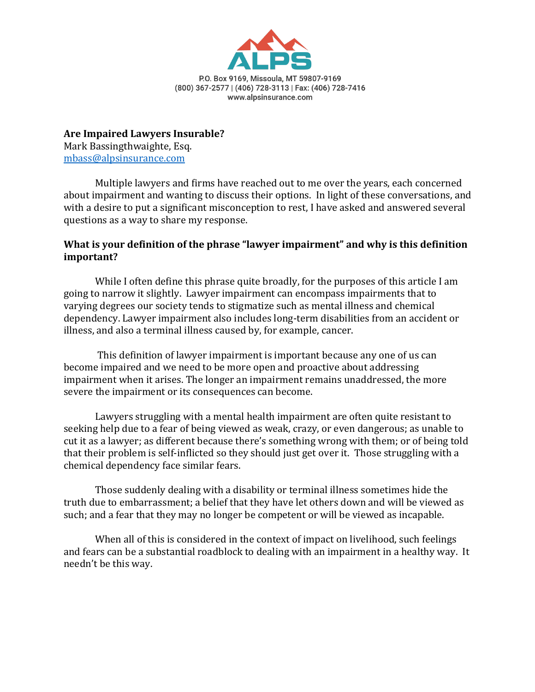

**Are Impaired Lawyers Insurable?** Mark Bassingthwaighte, Esq. mbass@alpsinsurance.com

Multiple lawyers and firms have reached out to me over the years, each concerned about impairment and wanting to discuss their options. In light of these conversations, and with a desire to put a significant misconception to rest. I have asked and answered several questions as a way to share my response.

## What is your definition of the phrase "lawyer impairment" and why is this definition **important?**

While I often define this phrase quite broadly, for the purposes of this article I am going to narrow it slightly. Lawyer impairment can encompass impairments that to varying degrees our society tends to stigmatize such as mental illness and chemical dependency. Lawyer impairment also includes long-term disabilities from an accident or illness, and also a terminal illness caused by, for example, cancer.

This definition of lawyer impairment is important because any one of us can become impaired and we need to be more open and proactive about addressing impairment when it arises. The longer an impairment remains unaddressed, the more severe the impairment or its consequences can become.

Lawyers struggling with a mental health impairment are often quite resistant to seeking help due to a fear of being viewed as weak, crazy, or even dangerous; as unable to cut it as a lawyer; as different because there's something wrong with them; or of being told that their problem is self-inflicted so they should just get over it. Those struggling with a chemical dependency face similar fears.

Those suddenly dealing with a disability or terminal illness sometimes hide the truth due to embarrassment; a belief that they have let others down and will be viewed as such; and a fear that they may no longer be competent or will be viewed as incapable.

When all of this is considered in the context of impact on livelihood, such feelings and fears can be a substantial roadblock to dealing with an impairment in a healthy way. It needn't be this way.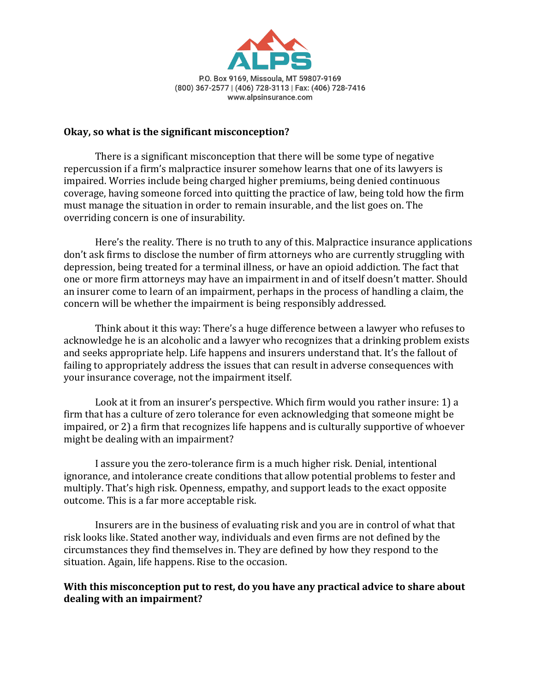

## **Okay, so what is the significant misconception?**

There is a significant misconception that there will be some type of negative repercussion if a firm's malpractice insurer somehow learns that one of its lawyers is impaired. Worries include being charged higher premiums, being denied continuous coverage, having someone forced into quitting the practice of law, being told how the firm must manage the situation in order to remain insurable, and the list goes on. The overriding concern is one of insurability.

Here's the reality. There is no truth to any of this. Malpractice insurance applications don't ask firms to disclose the number of firm attorneys who are currently struggling with depression, being treated for a terminal illness, or have an opioid addiction. The fact that one or more firm attorneys may have an impairment in and of itself doesn't matter. Should an insurer come to learn of an impairment, perhaps in the process of handling a claim, the concern will be whether the impairment is being responsibly addressed.

Think about it this way: There's a huge difference between a lawyer who refuses to acknowledge he is an alcoholic and a lawyer who recognizes that a drinking problem exists and seeks appropriate help. Life happens and insurers understand that. It's the fallout of failing to appropriately address the issues that can result in adverse consequences with your insurance coverage, not the impairment itself.

Look at it from an insurer's perspective. Which firm would you rather insure: 1) a firm that has a culture of zero tolerance for even acknowledging that someone might be impaired, or 2) a firm that recognizes life happens and is culturally supportive of whoever might be dealing with an impairment?

I assure you the zero-tolerance firm is a much higher risk. Denial, intentional ignorance, and intolerance create conditions that allow potential problems to fester and multiply. That's high risk. Openness, empathy, and support leads to the exact opposite outcome. This is a far more acceptable risk.

Insurers are in the business of evaluating risk and you are in control of what that risk looks like. Stated another way, individuals and even firms are not defined by the circumstances they find themselves in. They are defined by how they respond to the situation. Again, life happens. Rise to the occasion.

## With this misconception put to rest, do you have any practical advice to share about dealing with an impairment?